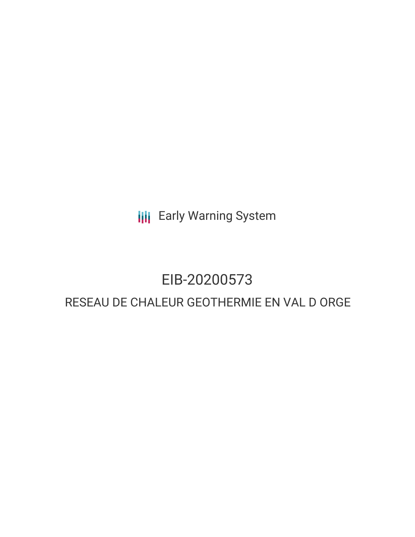**III** Early Warning System

## EIB-20200573

### RESEAU DE CHALEUR GEOTHERMIE EN VAL D ORGE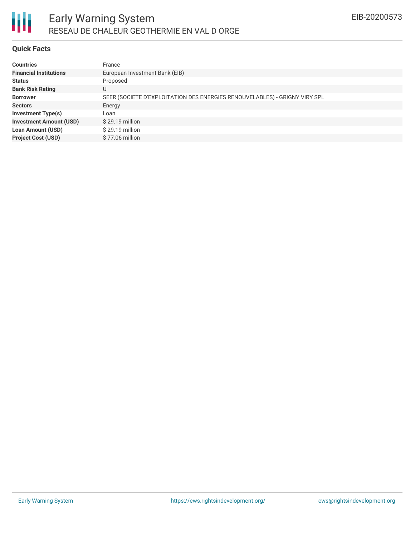

### **Quick Facts**

| <b>Countries</b>               | France                                                                     |
|--------------------------------|----------------------------------------------------------------------------|
| <b>Financial Institutions</b>  | European Investment Bank (EIB)                                             |
| <b>Status</b>                  | Proposed                                                                   |
| <b>Bank Risk Rating</b>        | U                                                                          |
| <b>Borrower</b>                | SEER (SOCIETE D'EXPLOITATION DES ENERGIES RENOUVELABLES) - GRIGNY VIRY SPL |
| <b>Sectors</b>                 | Energy                                                                     |
| <b>Investment Type(s)</b>      | Loan                                                                       |
| <b>Investment Amount (USD)</b> | $$29.19$ million                                                           |
| <b>Loan Amount (USD)</b>       | \$29.19 million                                                            |
| <b>Project Cost (USD)</b>      | \$77.06 million                                                            |
|                                |                                                                            |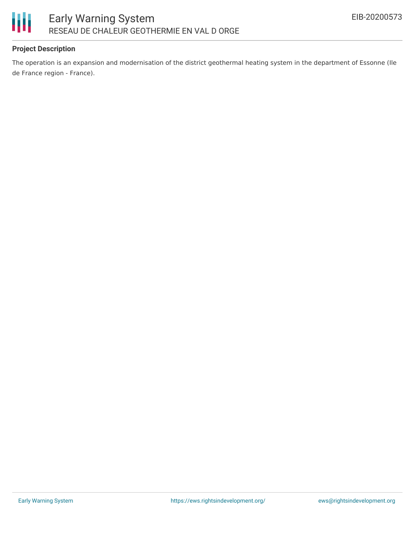

### **Project Description**

The operation is an expansion and modernisation of the district geothermal heating system in the department of Essonne (Ile de France region - France).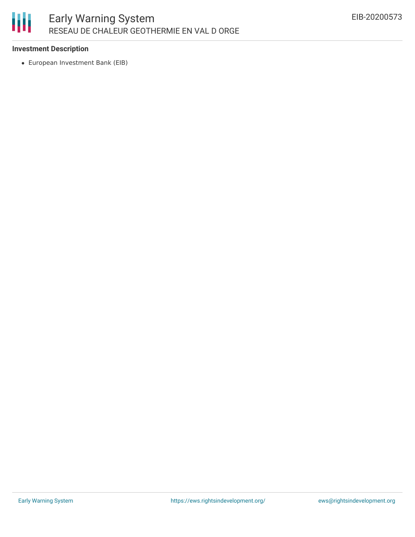# 朋

### **Investment Description**

European Investment Bank (EIB)